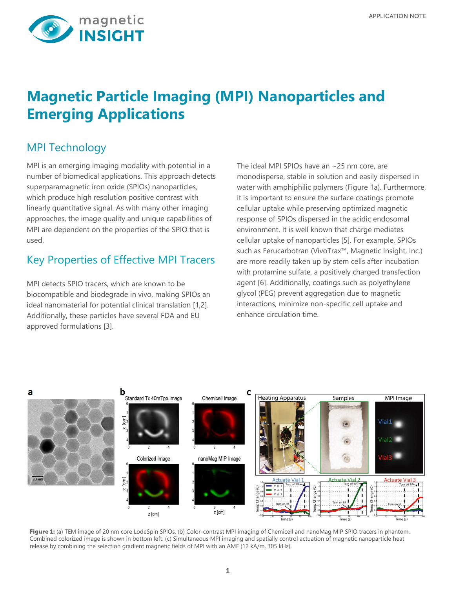

# **Magnetic Particle Imaging (MPI) Nanoparticles and Emerging Applications**

### MPI Technology

MPI is an emerging imaging modality with potential in a number of biomedical applications. This approach detects superparamagnetic iron oxide (SPIOs) nanoparticles, which produce high resolution positive contrast with linearly quantitative signal. As with many other imaging approaches, the image quality and unique capabilities of MPI are dependent on the properties of the SPIO that is used.

#### Key Properties of Effective MPI Tracers

MPI detects SPIO tracers, which are known to be biocompatible and biodegrade in vivo, making SPIOs an ideal nanomaterial for potential clinical translation [1,2]. Additionally, these particles have several FDA and EU approved formulations [3].

The ideal MPI SPIOs have an ~25 nm core, are monodisperse, stable in solution and easily dispersed in water with amphiphilic polymers (Figure 1a). Furthermore, it is important to ensure the surface coatings promote cellular uptake while preserving optimized magnetic response of SPIOs dispersed in the acidic endosomal environment. It is well known that charge mediates cellular uptake of nanoparticles [5]. For example, SPIOs such as Ferucarbotran (VivoTrax™, Magnetic Insight, Inc.) are more readily taken up by stem cells after incubation with protamine sulfate, a positively charged transfection agent [6]. Additionally, coatings such as polyethylene glycol (PEG) prevent aggregation due to magnetic interactions, minimize non-specific cell uptake and enhance circulation time.



Figure 1: (a) TEM image of 20 nm core LodeSpin SPIOs. (b) Color-contrast MPI imaging of Chemicell and nanoMag MIP SPIO tracers in phantom. Combined colorized image is shown in bottom left. (c) Simultaneous MPI imaging and spatially control actuation of magnetic nanoparticle heat release by combining the selection gradient magnetic fields of MPI with an AMF (12 kA/m, 305 kHz).